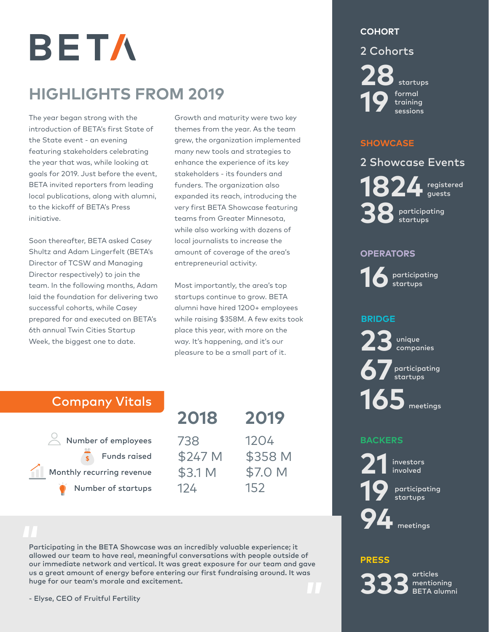BETA

# **HIGHLIGHTS FROM 2019**

The year began strong with the introduction of BETA's first State of the State event - an evening featuring stakeholders celebrating the year that was, while looking at goals for 2019. Just before the event, BETA invited reporters from leading local publications, along with alumni, to the kickoff of BETA's Press initiative.

Soon thereafter, BETA asked Casey Shultz and Adam Lingerfelt (BETA's Director of TCSW and Managing Director respectively) to join the team. In the following months, Adam laid the foundation for delivering two successful cohorts, while Casey prepared for and executed on BETA's 6th annual Twin Cities Startup Week, the biggest one to date.

Growth and maturity were two key themes from the year. As the team grew, the organization implemented many new tools and strategies to enhance the experience of its key stakeholders - its founders and funders. The organization also expanded its reach, introducing the very first BETA Showcase featuring teams from Greater Minnesota, while also working with dozens of local journalists to increase the amount of coverage of the area's entrepreneurial activity.

Most importantly, the area's top startups continue to grow. BETA alumni have hired 1200+ employees while raising \$358M. A few exits took place this year, with more on the way. It's happening, and it's our pleasure to be a small part of it.

# Company Vitals

 $\alpha$  Number of employees Funds raised Monthly recurring revenue Number of startups

| 2018    | 2019    |
|---------|---------|
| 738     | 1204    |
| \$247 M | \$358 M |
| \$3.1 M | \$7.0 M |
| 124     | 152     |

Participating in the BETA Showcase was an incredibly valuable experience; it allowed our team to have real, meaningful conversations with people outside of our immediate network and vertical. It was great exposure for our team and gave us a great amount of energy before entering our first fundraising around. It was huge for our team**'**s morale and excitement.

#### **COHORT**

#### 2 Cohorts

**28**startups formal training **19** sessions

#### **SHOWCASE**

**1824** registered 2 Showcase Events participating **38**startups

#### **OPERATORS**

participating **16**startups

### **BRIDGE**

unique **23**companies participating **67**startups **165** meetings

## **BACKERS**

investors **21** involved

participating **19** startups

**94** meetings

#### **PRESS**

articles

mentioning **333** BETA alumni